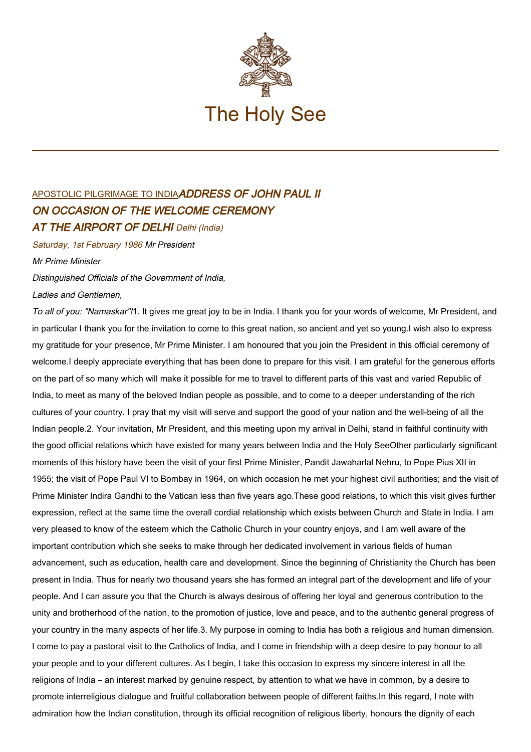

## [APOSTOLIC PILGRIMAGE TO INDIA](http://localhost/holy_father/john_paul_ii/travels/sub_index1986/trav_india.htm)ADDRESS OF JOHN PAUL II ON OCCASION OF THE WELCOME CEREMONY **AT THE AIRPORT OF DELHI** Delhi (India)

Saturday, 1st February 1986 Mr President

Mr Prime Minister

Distinguished Officials of the Government of India,

Ladies and Gentlemen,

To all of you: "Namaskar"!1. It gives me great joy to be in India. I thank you for your words of welcome, Mr President, and in particular I thank you for the invitation to come to this great nation, so ancient and yet so young.I wish also to express my gratitude for your presence, Mr Prime Minister. I am honoured that you join the President in this official ceremony of welcome.I deeply appreciate everything that has been done to prepare for this visit. I am grateful for the generous efforts on the part of so many which will make it possible for me to travel to different parts of this vast and varied Republic of India, to meet as many of the beloved Indian people as possible, and to come to a deeper understanding of the rich cultures of your country. I pray that my visit will serve and support the good of your nation and the well-being of all the Indian people.2. Your invitation, Mr President, and this meeting upon my arrival in Delhi, stand in faithful continuity with the good official relations which have existed for many years between India and the Holy SeeOther particularly significant moments of this history have been the visit of your first Prime Minister, Pandit Jawaharlal Nehru, to Pope Pius XII in 1955; the visit of Pope Paul VI to Bombay in 1964, on which occasion he met your highest civil authorities; and the visit of Prime Minister Indira Gandhi to the Vatican less than five years ago.These good relations, to which this visit gives further expression, reflect at the same time the overall cordial relationship which exists between Church and State in India. I am very pleased to know of the esteem which the Catholic Church in your country enjoys, and I am well aware of the important contribution which she seeks to make through her dedicated involvement in various fields of human advancement, such as education, health care and development. Since the beginning of Christianity the Church has been present in India. Thus for nearly two thousand years she has formed an integral part of the development and life of your people. And I can assure you that the Church is always desirous of offering her loyal and generous contribution to the unity and brotherhood of the nation, to the promotion of justice, love and peace, and to the authentic general progress of your country in the many aspects of her life.3. My purpose in coming to India has both a religious and human dimension. I come to pay a pastoral visit to the Catholics of India, and I come in friendship with a deep desire to pay honour to all your people and to your different cultures. As I begin, I take this occasion to express my sincere interest in all the religions of India – an interest marked by genuine respect, by attention to what we have in common, by a desire to promote interreligious dialogue and fruitful collaboration between people of different faiths.In this regard, I note with admiration how the Indian constitution, through its official recognition of religious liberty, honours the dignity of each